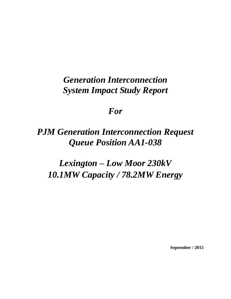# *Generation Interconnection System Impact Study Report*

## *For*

# *PJM Generation Interconnection Request Queue Position AA1-038*

# *Lexington – Low Moor 230kV 10.1MW Capacity / 78.2MW Energy*

**September / 2015**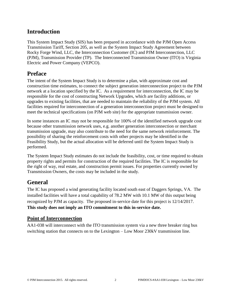## **Introduction**

This System Impact Study (SIS) has been prepared in accordance with the PJM Open Access Transmission Tariff, Section 205, as well as the System Impact Study Agreement between Rocky Forge Wind, LLC, the Interconnection Customer (IC) and PJM Interconnection, LLC (PJM), Transmission Provider (TP). The Interconnected Transmission Owner (ITO) is Virginia Electric and Power Company (VEPCO).

### **Preface**

The intent of the System Impact Study is to determine a plan, with approximate cost and construction time estimates, to connect the subject generation interconnection project to the PJM network at a location specified by the IC. As a requirement for interconnection, the IC may be responsible for the cost of constructing Network Upgrades, which are facility additions, or upgrades to existing facilities, that are needed to maintain the reliability of the PJM system. All facilities required for interconnection of a generation interconnection project must be designed to meet the technical specifications (on PJM web site) for the appropriate transmission owner.

In some instances an IC may not be responsible for 100% of the identified network upgrade cost because other transmission network uses, e.g. another generation interconnection or merchant transmission upgrade, may also contribute to the need for the same network reinforcement. The possibility of sharing the reinforcement costs with other projects may be identified in the Feasibility Study, but the actual allocation will be deferred until the System Impact Study is performed.

The System Impact Study estimates do not include the feasibility, cost, or time required to obtain property rights and permits for construction of the required facilities. The IC is responsible for the right of way, real estate, and construction permit issues. For properties currently owned by Transmission Owners, the costs may be included in the study.

## **General**

The IC has proposed a wind generating facility located south east of Daggers Springs, VA. The installed facilities will have a total capability of 78.2 MW with 10.1 MW of this output being recognized by PJM as capacity. The proposed in-service date for this project is 12/14/2017. **This study does not imply an ITO commitment to this in-service date.**

#### **Point of Interconnection**

AA1-038 will interconnect with the ITO transmission system via a new three breaker ring bus switching station that connects on to the Lexington – Low Moor 230kV transmission line.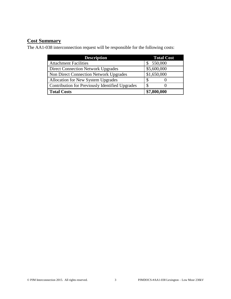## **Cost Summary**

The AA1-038 interconnection request will be responsible for the following costs:

| <b>Description</b>                              | <b>Total Cost</b> |
|-------------------------------------------------|-------------------|
| <b>Attachment Facilities</b>                    | 550,000           |
| <b>Direct Connection Network Upgrades</b>       | \$5,600,000       |
| Non Direct Connection Network Upgrades          | \$1,650,000       |
| Allocation for New System Upgrades              |                   |
| Contribution for Previously Identified Upgrades |                   |
| <b>Total Costs</b>                              | \$7,800,000       |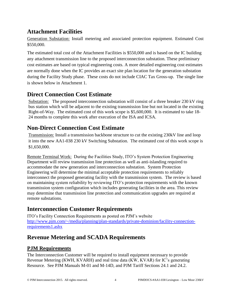## **Attachment Facilities**

Generation Substation: Install metering and associated protection equipment. Estimated Cost \$550,000.

The estimated total cost of the Attachment Facilities is \$550,000 and is based on the IC building any attachment transmission line to the proposed interconnection substation. These preliminary cost estimates are based on typical engineering costs. A more detailed engineering cost estimates are normally done when the IC provides an exact site plan location for the generation substation during the Facility Study phase. These costs do not include CIAC Tax Gross-up. The single line is shown below in Attachment 1.

## **Direct Connection Cost Estimate**

Substation: The proposed interconnection substation will consist of a three breaker 230 kV ring bus station which will be adjacent to the existing transmission line but not located in the existing Right-of-Way. The estimated cost of this work scope is \$5,600,000. It is estimated to take 18- 24 months to complete this work after execution of the ISA and ICSA.

## **Non-Direct Connection Cost Estimate**

Transmission: Install a transmission backbone structure to cut the existing 230kV line and loop it into the new AA1-038 230 kV Switching Substation. The estimated cost of this work scope is \$1,650,000.

Remote Terminal Work: During the Facilities Study, ITO's System Protection Engineering Department will review transmission line protection as well as anti-islanding required to accommodate the new generation and interconnection substation. System Protection Engineering will determine the minimal acceptable protection requirements to reliably interconnect the proposed generating facility with the transmission system. The review is based on maintaining system reliability by reviewing ITO's protection requirements with the known transmission system configuration which includes generating facilities in the area. This review may determine that transmission line protection and communication upgrades are required at remote substations.

## **Interconnection Customer Requirements**

ITO's Facility Connection Requirements as posted on PJM's website [http://www.pjm.com/~/media/planning/plan-standards/private-dominion/facility-connection](http://www.pjm.com/~/media/planning/plan-standards/private-dominion/facility-connection-requirements1.ashx)[requirements1.ashx](http://www.pjm.com/~/media/planning/plan-standards/private-dominion/facility-connection-requirements1.ashx)

## **Revenue Metering and SCADA Requirements**

#### **PJM Requirements**

The Interconnection Customer will be required to install equipment necessary to provide Revenue Metering (KWH, KVARH) and real time data (KW, KVAR) for IC's generating Resource. See PJM Manuals M-01 and M-14D, and PJM Tariff Sections 24.1 and 24.2.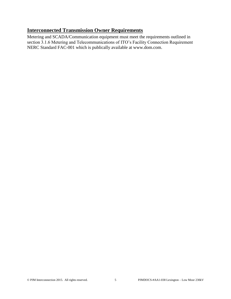#### **Interconnected Transmission Owner Requirements**

Metering and SCADA/Communication equipment must meet the requirements outlined in section 3.1.6 Metering and Telecommunications of ITO's Facility Connection Requirement NERC Standard FAC-001 which is publically available at www.dom.com.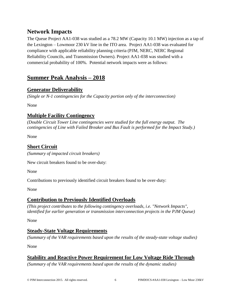## **Network Impacts**

The Queue Project AA1-038 was studied as a 78.2 MW (Capacity 10.1 MW) injection as a tap of the Lexington – Lowmoor 230 kV line in the ITO area. Project AA1-038 was evaluated for compliance with applicable reliability planning criteria (PJM, NERC, NERC Regional Reliability Councils, and Transmission Owners). Project AA1-038 was studied with a commercial probability of 100%. Potential network impacts were as follows:

## **Summer Peak Analysis – 2018**

#### **Generator Deliverability**

*(Single or N-1 contingencies for the Capacity portion only of the interconnection)*

None

#### **Multiple Facility Contingency**

*(Double Circuit Tower Line contingencies were studied for the full energy output. The contingencies of Line with Failed Breaker and Bus Fault is performed for the Impact Study.)*

None

#### **Short Circuit**

*(Summary of impacted circuit breakers)*

New circuit breakers found to be over-duty:

None

Contributions to previously identified circuit breakers found to be over-duty:

None

#### **Contribution to Previously Identified Overloads**

*(This project contributes to the following contingency overloads, i.e. "Network Impacts", identified for earlier generation or transmission interconnection projects in the PJM Queue)*

None

#### **Steady-State Voltage Requirements**

*(Summary of the VAR requirements based upon the results of the steady-state voltage studies)*

None

#### **Stability and Reactive Power Requirement for Low Voltage Ride Through**

*(Summary of the VAR requirements based upon the results of the dynamic studies)*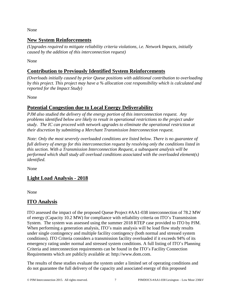None

#### **New System Reinforcements**

*(Upgrades required to mitigate reliability criteria violations, i.e. Network Impacts, initially caused by the addition of this interconnection request)*

None

#### **Contribution to Previously Identified System Reinforcements**

*(Overloads initially caused by prior Queue positions with additional contribution to overloading by this project. This project may have a % allocation cost responsibility which is calculated and reported for the Impact Study)*

None

#### **Potential Congestion due to Local Energy Deliverability**

*PJM also studied the delivery of the energy portion of this interconnection request. Any problems identified below are likely to result in operational restrictions to the project under study. The IC can proceed with network upgrades to eliminate the operational restriction at their discretion by submitting a Merchant Transmission Interconnection request.*

*Note: Only the most severely overloaded conditions are listed below. There is no guarantee of full delivery of energy for this interconnection request by resolving only the conditions listed in this section. With a Transmission Interconnection Request, a subsequent analysis will be performed which shall study all overload conditions associated with the overloaded element(s) identified.* 

None

#### **Light Load Analysis - 2018**

None

#### **ITO Analysis**

ITO assessed the impact of the proposed Queue Project #AA1-038 interconnection of 78.2 MW of energy (Capacity 10.2 MW) for compliance with reliability criteria on ITO's Transmission System. The system was assessed using the summer 2018 RTEP case provided to ITO by PJM. When performing a generation analysis, ITO's main analysis will be load flow study results under single contingency and multiple facility contingency (both normal and stressed system conditions). ITO Criteria considers a transmission facility overloaded if it exceeds 94% of its emergency rating under normal and stressed system conditions. A full listing of ITO's Planning Criteria and interconnection requirements can be found in the ITO's Facility Connection Requirements which are publicly available at: [http://www.dom.com.](http://www.dom.com/)

The results of these studies evaluate the system under a limited set of operating conditions and do not guarantee the full delivery of the capacity and associated energy of this proposed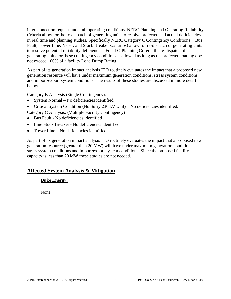interconnection request under all operating conditions. NERC Planning and Operating Reliability Criteria allow for the re-dispatch of generating units to resolve projected and actual deficiencies in real time and planning studies. Specifically NERC Category C Contingency Conditions ( Bus Fault, Tower Line, N-1-1, and Stuck Breaker scenarios) allow for re-dispatch of generating units to resolve potential reliability deficiencies. For ITO Planning Criteria the re-dispatch of generating units for these contingency conditions is allowed as long as the projected loading does not exceed 100% of a facility Load Dump Rating.

As part of its generation impact analysis ITO routinely evaluates the impact that a proposed new generation resource will have under maximum generation conditions, stress system conditions and import/export system conditions. The results of these studies are discussed in more detail below.

Category B Analysis (Single Contingency):

- System Normal No deficiencies identified
- Critical System Condition (No Surry 230 kV Unit) No deficiencies identified.
- Category C Analysis: (Multiple Facility Contingency)
- Bus Fault No deficiencies identified
- Line Stuck Breaker No deficiencies identified
- Tower Line No deficiencies identified

As part of its generation impact analysis ITO routinely evaluates the impact that a proposed new generation resource (greater than 20 MW) will have under maximum generation conditions, stress system conditions and import/export system conditions. Since the proposed facility capacity is less than 20 MW these studies are not needed.

#### **Affected System Analysis & Mitigation**

#### **Duke Energy:**

None